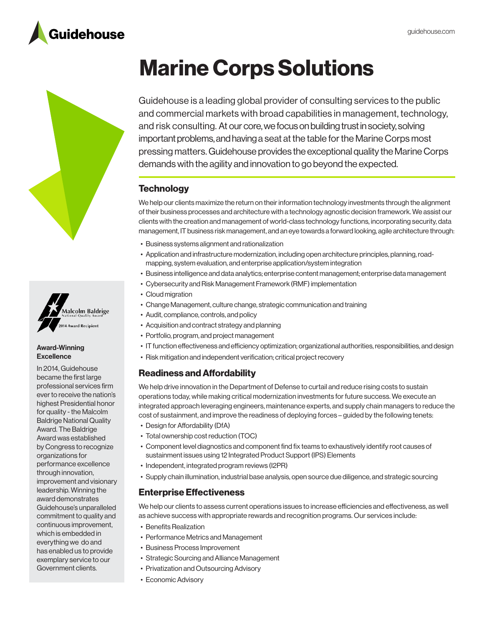





#### Award-Winning **Excellence**

In 2014, Guidehouse became the first large professional services firm ever to receive the nation's highest Presidential honor for quality - the Malcolm Baldrige National Quality Award. The Baldrige Award was established by Congress to recognize organizations for performance excellence through innovation, improvement and visionary leadership. Winning the award demonstrates Guidehouse's unparalleled commitment to quality and continuous improvement, which is embedded in everything we do and has enabled us to provide exemplary service to our Government clients.

# Marine Corps Solutions

Guidehouse is a leading global provider of consulting services to the public and commercial markets with broad capabilities in management, technology, and risk consulting. At our core, we focus on building trust in society, solving important problems, and having a seat at the table for the Marine Corps most pressing matters. Guidehouse provides the exceptional quality the Marine Corps demands with the agility and innovation to go beyond the expected.

# **Technology**

We help our clients maximize the return on their information technology investments through the alignment of their business processes and architecture with a technology agnostic decision framework. We assist our clients with the creation and management of world-class technology functions, incorporating security, data management, IT business risk management, and an eye towards a forward looking, agile architecture through:

- Business systems alignment and rationalization
- • Application and infrastructure modernization, including open architecture principles, planning, roadmapping, system evaluation, and enterprise application/system integration
- • Business intelligence and data analytics; enterprise content management; enterprise data management
- • Cybersecurity and Risk Management Framework (RMF) implementation
- Cloud migration
- Change Management, culture change, strategic communication and training
- Audit, compliance, controls, and policy
- Acquisition and contract strategy and planning
- Portfolio, program, and project management
- • IT function effectiveness and efficiency optimization; organizational authorities, responsibilities, and design
- Risk mitigation and independent verification; critical project recovery

# Readiness and Affordability

We help drive innovation in the Department of Defense to curtail and reduce rising costs to sustain operations today, while making critical modernization investments for future success. We execute an integrated approach leveraging engineers, maintenance experts, and supply chain managers to reduce the cost of sustainment, and improve the readiness of deploying forces – guided by the following tenets:

- Design for Affordability (DfA)
- Total ownership cost reduction (TOC)
- • Component level diagnostics and component find fix teams to exhaustively identify root causes of sustainment issues using 12 Integrated Product Support (IPS) Elements
- Independent, integrated program reviews (I2PR)
- • Supply chain illumination, industrial base analysis, open source due diligence, and strategic sourcing

# Enterprise Effectiveness

We help our clients to assess current operations issues to increase efficiencies and effectiveness, as well as achieve success with appropriate rewards and recognition programs. Our services include:

- Benefits Realization
- Performance Metrics and Management
- Business Process Improvement
- Strategic Sourcing and Alliance Management
- Privatization and Outsourcing Advisory
- Economic Advisory